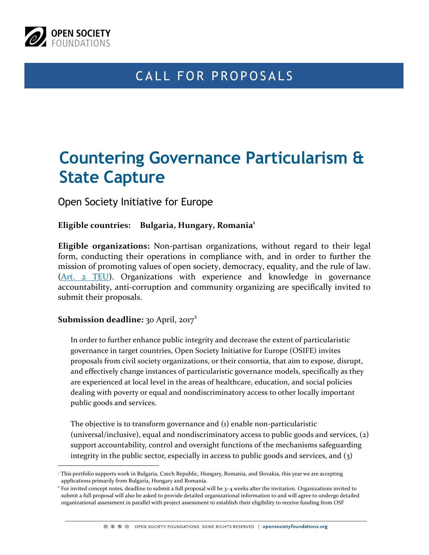

 $\overline{a}$ 

## CALL FOR PROPOSALS

# **Countering Governance Particularism & State Capture**

Open Society Initiative for Europe

**Eligible countries: Bulgaria, Hungary, Romania1**

**Eligible organizations:** Non-partisan organizations, without regard to their legal form, conducting their operations in compliance with, and in order to further the mission of promoting values of open society, democracy, equality, and the rule of law. [\(Art. 2 TEU](http://eur-lex.europa.eu/LexUriServ/LexUriServ.do?uri=OJ:C:2008:115:0013:0045:en:PDF)). Organizations with experience and knowledge in governance accountability, anti-corruption and community organizing are specifically invited to submit their proposals.

#### **Submission deadline:** 30 April, 2017<sup>2</sup>

In order to further enhance public integrity and decrease the extent of particularistic governance in target countries, Open Society Initiative for Europe (OSIFE) invites proposals from civil society organizations, or their consortia, that aim to expose, disrupt, and effectively change instances of particularistic governance models, specifically as they are experienced at local level in the areas of healthcare, education, and social policies dealing with poverty or equal and nondiscriminatory access to other locally important public goods and services.

The objective is to transform governance and (1) enable non-particularistic (universal/inclusive), equal and nondiscriminatory access to public goods and services, (2) support accountability, control and oversight functions of the mechanisms safeguarding integrity in the public sector, especially in access to public goods and services, and  $(3)$ 

<sup>&</sup>lt;sup>1</sup> This portfolio supports work in Bulgaria, Czech Republic, Hungary, Romania, and Slovakia, this year we are accepting applications primarily from Bulgaria, Hungary and Romania.

 $2$  For invited concept notes, deadline to submit a full proposal will be  $3-4$  weeks after the invitation. Organizations invited to submit a full proposal will also be asked to provide detailed organizational information to and will agree to undergo detailed organizational assessment in parallel with project assessment to establish their eligibility to receive funding from OSF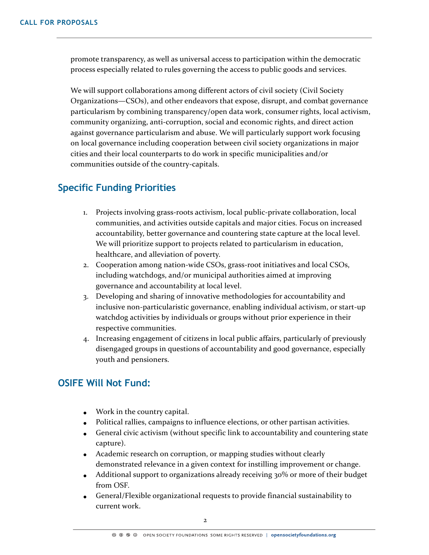promote transparency, as well as universal access to participation within the democratic process especially related to rules governing the access to public goods and services.

We will support collaborations among different actors of civil society (Civil Society Organizations—CSOs), and other endeavors that expose, disrupt, and combat governance particularism by combining transparency/open data work, consumer rights, local activism, community organizing, anti-corruption, social and economic rights, and direct action against governance particularism and abuse. We will particularly support work focusing on local governance including cooperation between civil society organizations in major cities and their local counterparts to do work in specific municipalities and/or communities outside of the country-capitals.

## **Specific Funding Priorities**

- 1. Projects involving grass-roots activism, local public-private collaboration, local communities, and activities outside capitals and major cities. Focus on increased accountability, better governance and countering state capture at the local level. We will prioritize support to projects related to particularism in education, healthcare, and alleviation of poverty.
- 2. Cooperation among nation-wide CSOs, grass-root initiatives and local CSOs, including watchdogs, and/or municipal authorities aimed at improving governance and accountability at local level.
- 3. Developing and sharing of innovative methodologies for accountability and inclusive non-particularistic governance, enabling individual activism, or start-up watchdog activities by individuals or groups without prior experience in their respective communities.
- 4. Increasing engagement of citizens in local public affairs, particularly of previously disengaged groups in questions of accountability and good governance, especially youth and pensioners.

### **OSIFE Will Not Fund:**

- Work in the country capital.
- Political rallies, campaigns to influence elections, or other partisan activities.
- General civic activism (without specific link to accountability and countering state capture).
- Academic research on corruption, or mapping studies without clearly demonstrated relevance in a given context for instilling improvement or change.
- Additional support to organizations already receiving 30% or more of their budget from OSF.
- General/Flexible organizational requests to provide financial sustainability to current work.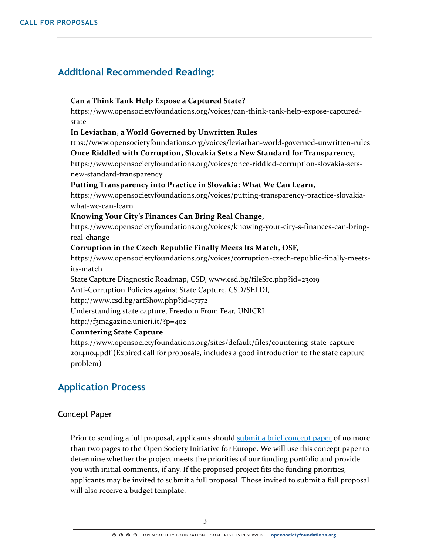## **Additional Recommended Reading:**

#### **Can a Think Tank Help Expose a Captured State?**

https://www.opensocietyfoundations.org/voices/can-think-tank-help-expose-capturedstate

#### **In Leviathan, a World Governed by Unwritten Rules**

ttps://www.opensocietyfoundations.org/voices/leviathan-world-governed-unwritten-rules

#### **Once Riddled with Corruption, Slovakia Sets a New Standard for Transparency,**

https://www.opensocietyfoundations.org/voices/once-riddled-corruption-slovakia-setsnew-standard-transparency

#### **Putting Transparency into Practice in Slovakia: What We Can Learn,**

https://www.opensocietyfoundations.org/voices/putting-transparency-practice-slovakiawhat-we-can-learn

#### **Knowing Your City's Finances Can Bring Real Change,**

https://www.opensocietyfoundations.org/voices/knowing-your-city-s-finances-can-bringreal-change

#### **Corruption in the Czech Republic Finally Meets Its Match, OSF,**

https://www.opensocietyfoundations.org/voices/corruption-czech-republic-finally-meetsits-match

State Capture Diagnostic Roadmap, CSD, www.csd.bg/fileSrc.php?id=23019

Anti-Corruption Policies against State Capture, CSD/SELDI,

http://www.csd.bg/artShow.php?id=17172

Understanding state capture, Freedom From Fear, UNICRI

http://f3magazine.unicri.it/?p=402

#### **Countering State Capture**

https://www.opensocietyfoundations.org/sites/default/files/countering-state-capture-20141104.pdf (Expired call for proposals, includes a good introduction to the state capture problem)

## **Application Process**

#### Concept Paper

Prior to sending a full proposal, applicants should [submit a brief concept paper](https://www.foundationconnect.org/GrantsManager/Pages/V3/Portal/Login/Login.aspx?OrgID=00Dd0000000c6ik&ReturnUrl=%2fGrantsManager%2fPages%2fV3%2fPortal%2fLOI.aspx%3fOrgID%3d00Dd0000000c6ik%26InquiryRT%3d012d0000000SPIT%26CampaignID%3d7010V000002aC6L%26IsDirect%3dtrue%26lang%3den) of no more than two pages to the Open Society Initiative for Europe. We will use this concept paper to determine whether the project meets the priorities of our funding portfolio and provide you with initial comments, if any. If the proposed project fits the funding priorities, applicants may be invited to submit a full proposal. Those invited to submit a full proposal will also receive a budget template.